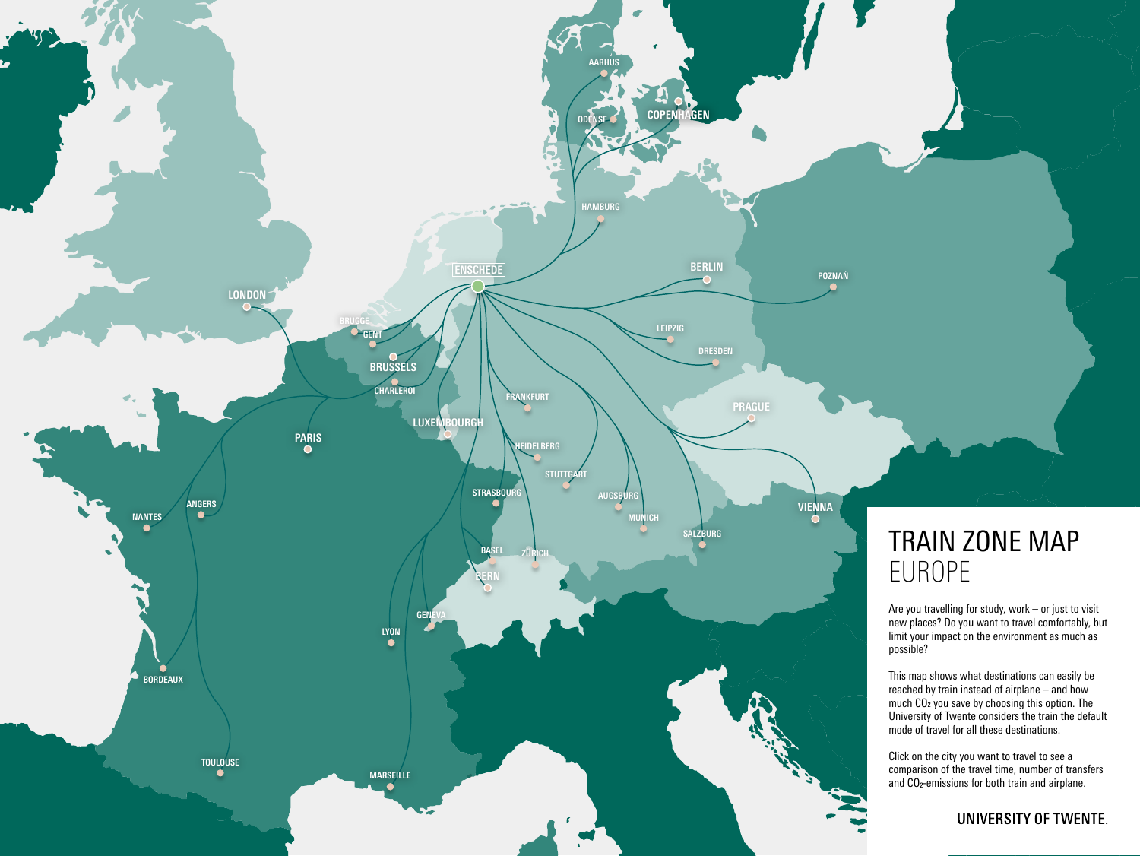

## TRAIN ZONE MAP EUROPE

Are you travelling for study, work – or just to visit new places? Do you want to travel comfortably, but limit your impact on the environment as much as

This map shows what destinations can easily be reached by train instead of airplane – and how much CO2 you save by choosing this option. The University of Twente considers the train the default mode of travel for all these destinations.

Click on the city you want to travel to see a comparison of the travel time, number of transfers and CO2-emissions for both train and airplane.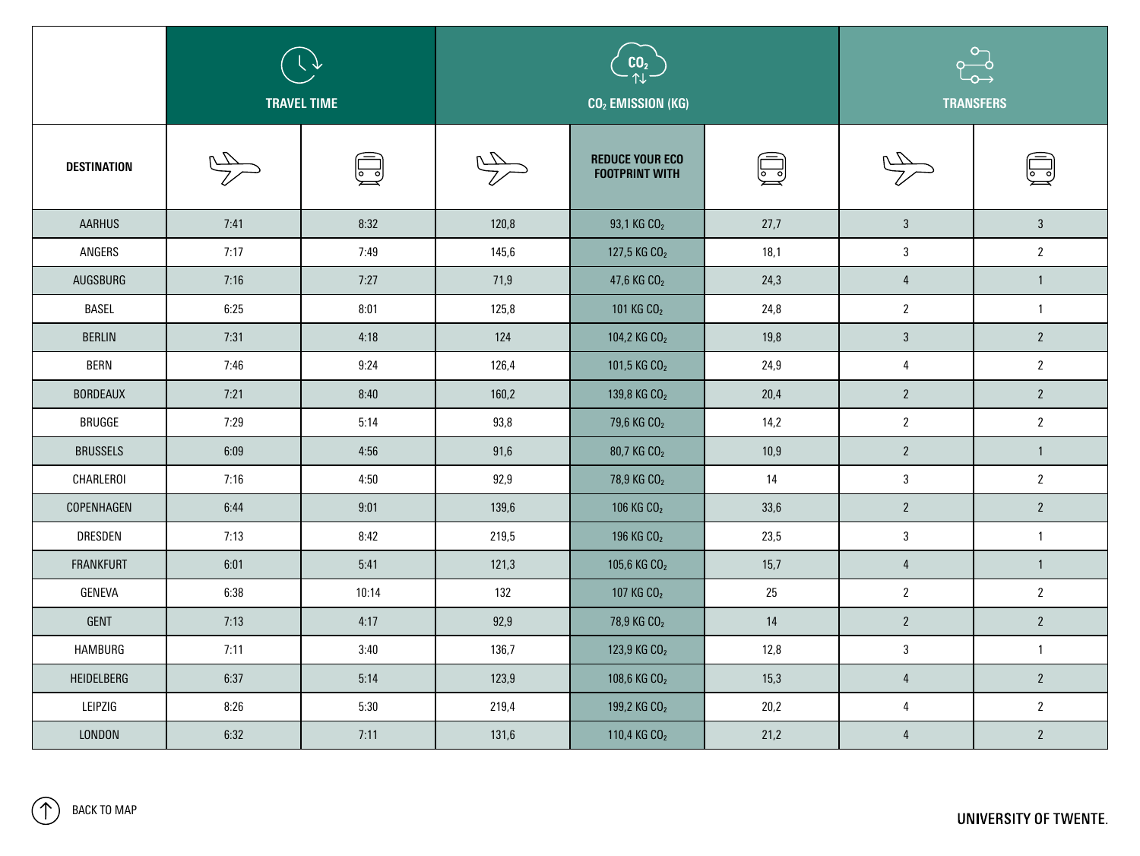|                    | ् √∕<br><b>TRAVEL TIME</b> |              | CO <sub>2</sub><br>CO <sub>2</sub> EMISSION (KG) |                                                 |                         | $\circ$<br>$\begin{array}{c}\n0 \rightarrow \infty\n\end{array}$<br><b>TRANSFERS</b> |                                                                 |
|--------------------|----------------------------|--------------|--------------------------------------------------|-------------------------------------------------|-------------------------|--------------------------------------------------------------------------------------|-----------------------------------------------------------------|
| <b>DESTINATION</b> |                            | $\mathbb{Z}$ |                                                  | <b>REDUCE YOUR ECO</b><br><b>FOOTPRINT WITH</b> | $\overline{\mathbb{Z}}$ | $\frac{1}{\sqrt{2}}$                                                                 | $\textcolor{red}{\textcircled{\footnotesize{1}}}\hspace{1.5ex}$ |
| <b>AARHUS</b>      | 7:41                       | 8:32         | 120,8                                            | 93,1 KG CO <sub>2</sub>                         | 27,7                    | $\mathbf{3}$                                                                         | 3 <sup>1</sup>                                                  |
| ANGERS             | 7:17                       | 7:49         | 145,6                                            | 127,5 KG CO <sub>2</sub>                        | 18,1                    | $\sqrt{3}$                                                                           | $2^{\circ}$                                                     |
| AUGSBURG           | 7:16                       | 7:27         | 71,9                                             | 47,6 KG $CO2$                                   | 24,3                    | $\overline{4}$                                                                       |                                                                 |
| <b>BASEL</b>       | 6:25                       | 8:01         | 125,8                                            | 101 KG CO <sub>2</sub>                          | 24,8                    | $\overline{2}$                                                                       |                                                                 |
| <b>BERLIN</b>      | 7:31                       | 4:18         | 124                                              | 104,2 KG CO <sub>2</sub>                        | 19,8                    | $\mathbf{3}$                                                                         | $2^{\circ}$                                                     |
| <b>BERN</b>        | 7:46                       | 9:24         | 126,4                                            | 101,5 KG CO <sub>2</sub>                        | 24,9                    | $\overline{4}$                                                                       | $\mathbf{2}$                                                    |
| <b>BORDEAUX</b>    | 7:21                       | 8:40         | 160,2                                            | 139,8 KG CO <sub>2</sub>                        | 20,4                    | $\mathbf{2}$                                                                         | $2^{\circ}$                                                     |
| <b>BRUGGE</b>      | 7:29                       | 5:14         | 93,8                                             | 79,6 KG CO <sub>2</sub>                         | 14,2                    | $\boldsymbol{2}$                                                                     | $\mathbf{2}$                                                    |
| <b>BRUSSELS</b>    | 6:09                       | 4:56         | 91,6                                             | 80,7 KG CO <sub>2</sub>                         | 10,9                    | $\mathbf{2}$                                                                         |                                                                 |
| CHARLEROI          | 7:16                       | 4:50         | 92,9                                             | 78,9 KG CO <sub>2</sub>                         | 14                      | $\sqrt{3}$                                                                           | $2^{\circ}$                                                     |
| COPENHAGEN         | 6:44                       | 9:01         | 139,6                                            | 106 KG CO <sub>2</sub>                          | 33,6                    | $\overline{2}$                                                                       | $2^{\circ}$                                                     |
| DRESDEN            | 7:13                       | 8:42         | 219,5                                            | 196 KG CO <sub>2</sub>                          | 23,5                    | $\mathbf{3}$                                                                         |                                                                 |
| <b>FRANKFURT</b>   | 6:01                       | 5:41         | 121,3                                            | 105,6 KG CO <sub>2</sub>                        | 15,7                    | $\overline{4}$                                                                       |                                                                 |
| GENEVA             | 6:38                       | 10:14        | 132                                              | 107 KG CO <sub>2</sub>                          | $25\,$                  | $\mathbf{2}$                                                                         | $2^{\circ}$                                                     |
| GENT               | 7:13                       | 4:17         | 92,9                                             | 78,9 KG CO <sub>2</sub>                         | 14                      | $\mathbf{2}$                                                                         | $2^{\circ}$                                                     |
| HAMBURG            | 7:11                       | 3:40         | 136,7                                            | 123,9 KG CO <sub>2</sub>                        | 12,8                    | $\sqrt{3}$                                                                           |                                                                 |
| HEIDELBERG         | 6:37                       | 5:14         | 123,9                                            | 108,6 KG CO <sub>2</sub>                        | 15,3                    | $\overline{4}$                                                                       | $2^{\circ}$                                                     |
| LEIPZIG            | 8:26                       | 5:30         | 219,4                                            | 199,2 KG CO <sub>2</sub>                        | 20,2                    | $\overline{4}$                                                                       | $2\overline{ }$                                                 |
| LONDON             | 6:32                       | 7:11         | 131,6                                            | 110,4 KG CO <sub>2</sub>                        | 21,2                    | $\overline{4}$                                                                       | $2\overline{ }$                                                 |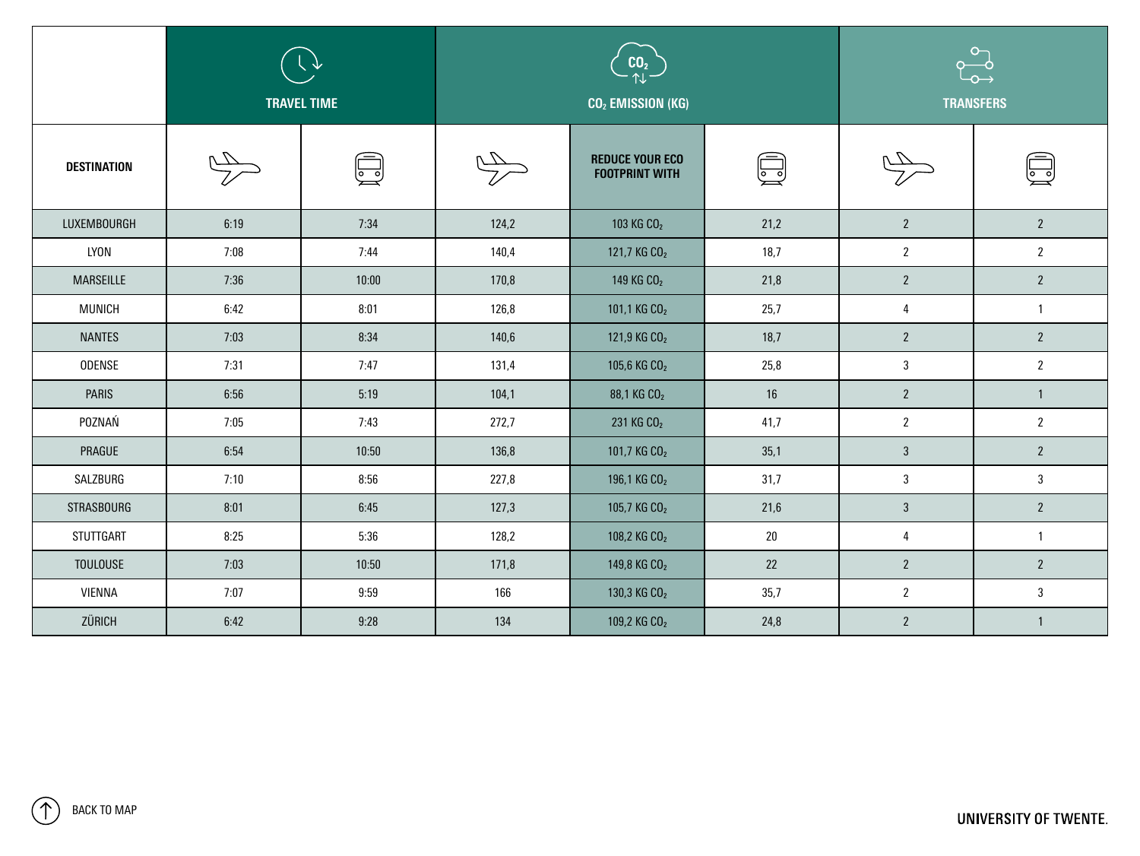|                    | ् √∕<br><b>TRAVEL TIME</b> |       | CO <sub>2</sub><br>CO <sub>2</sub> EMISSION (KG) |                                                 |      | $\circ$<br>$\begin{array}{c}\n0\n\end{array}$<br><b>TRANSFERS</b> |                |
|--------------------|----------------------------|-------|--------------------------------------------------|-------------------------------------------------|------|-------------------------------------------------------------------|----------------|
| <b>DESTINATION</b> |                            | । न   |                                                  | <b>REDUCE YOUR ECO</b><br><b>FOOTPRINT WITH</b> | لصيا | $\frac{1}{\sqrt{2}}$                                              | يعتا           |
| LUXEMBOURGH        | 6:19                       | 7:34  | 124,2                                            | 103 KG CO <sub>2</sub>                          | 21,2 | $\mathbf{2}$                                                      | $2^{\circ}$    |
| LYON               | 7:08                       | 7:44  | 140,4                                            | 121,7 KG CO <sub>2</sub>                        | 18,7 | $\mathbf{2}$                                                      | $2^{\circ}$    |
| <b>MARSEILLE</b>   | 7:36                       | 10:00 | 170,8                                            | 149 KG CO <sub>2</sub>                          | 21,8 | $\overline{2}$                                                    | $2^{\circ}$    |
| <b>MUNICH</b>      | 6:42                       | 8:01  | 126,8                                            | 101,1 KG CO <sub>2</sub>                        | 25,7 | $\overline{4}$                                                    |                |
| <b>NANTES</b>      | 7:03                       | 8:34  | 140,6                                            | 121,9 KG CO <sub>2</sub>                        | 18,7 | $\mathbf{2}$                                                      | $2^{\circ}$    |
| <b>ODENSE</b>      | 7:31                       | 7:47  | 131,4                                            | 105,6 KG CO <sub>2</sub>                        | 25,8 | $\mathbf{3}$                                                      | $2^{\circ}$    |
| <b>PARIS</b>       | 6:56                       | 5:19  | 104,1                                            | 88,1 KG CO <sub>2</sub>                         | 16   | $\overline{2}$                                                    |                |
| POZNAŃ             | 7:05                       | 7:43  | 272,7                                            | 231 KG CO <sub>2</sub>                          | 41,7 | $\overline{2}$                                                    | $2^{\circ}$    |
| PRAGUE             | 6:54                       | 10:50 | 136,8                                            | 101,7 KG CO <sub>2</sub>                        | 35,1 | $\mathbf{3}$                                                      | $2^{\circ}$    |
| SALZBURG           | 7:10                       | 8:56  | 227,8                                            | 196,1 KG CO <sub>2</sub>                        | 31,7 | $\mathbf{3}$                                                      | 3 <sup>1</sup> |
| <b>STRASBOURG</b>  | 8:01                       | 6:45  | 127,3                                            | 105,7 KG CO <sub>2</sub>                        | 21,6 | $\mathbf{3}$                                                      | $2^{\circ}$    |
| STUTTGART          | 8:25                       | 5:36  | 128,2                                            | 108,2 KG CO <sub>2</sub>                        | 20   | $\overline{4}$                                                    |                |
| <b>TOULOUSE</b>    | 7:03                       | 10:50 | 171,8                                            | 149,8 KG CO <sub>2</sub>                        | 22   | $\mathbf{2}$                                                      | $2^{\circ}$    |
| VIENNA             | 7:07                       | 9:59  | 166                                              | 130,3 KG CO <sub>2</sub>                        | 35,7 | $\mathbf{2}$                                                      | 3 <sup>1</sup> |
| ZÜRICH             | 6:42                       | 9:28  | 134                                              | 109,2 KG CO <sub>2</sub>                        | 24,8 | $\mathbf{2}$                                                      |                |